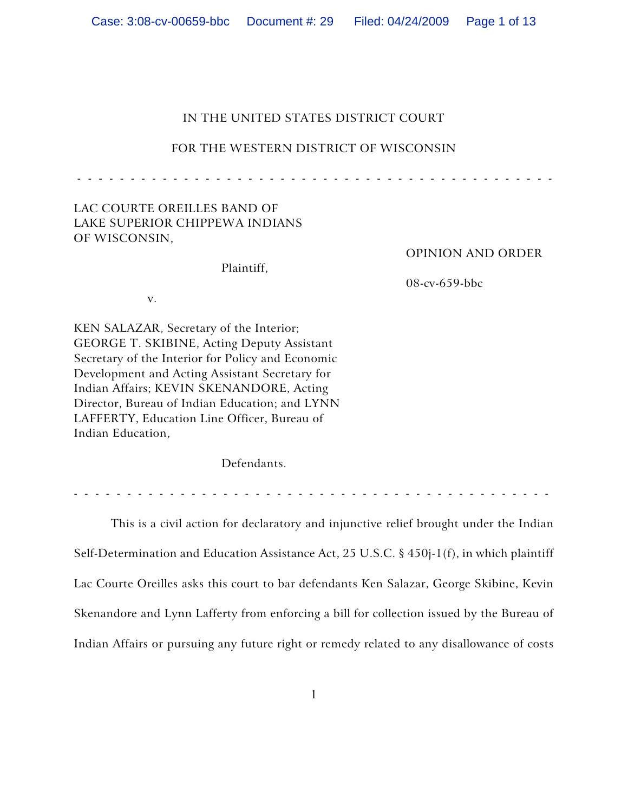| Filed: 04/24/2009  Page 1 of 13 |
|---------------------------------|
|---------------------------------|

# IN THE UNITED STATES DISTRICT COURT

## FOR THE WESTERN DISTRICT OF WISCONSIN

- - - - - - - - - - - - - - - - - - - - - - - - - - - - - - - - - - - - - - - - - - - - -

## LAC COURTE OREILLES BAND OF LAKE SUPERIOR CHIPPEWA INDIANS OF WISCONSIN,

Plaintiff,

OPINION AND ORDER

08-cv-659-bbc

v.

KEN SALAZAR, Secretary of the Interior; GEORGE T. SKIBINE, Acting Deputy Assistant Secretary of the Interior for Policy and Economic Development and Acting Assistant Secretary for Indian Affairs; KEVIN SKENANDORE, Acting Director, Bureau of Indian Education; and LYNN LAFFERTY, Education Line Officer, Bureau of Indian Education,

Defendants.

- - - - - - - - - - - - - - - - - - - - - - - - - - - - - - - - - - - - - - - - - - - - -

This is a civil action for declaratory and injunctive relief brought under the Indian Self-Determination and Education Assistance Act, 25 U.S.C. § 450j-1(f), in which plaintiff Lac Courte Oreilles asks this court to bar defendants Ken Salazar, George Skibine, Kevin Skenandore and Lynn Lafferty from enforcing a bill for collection issued by the Bureau of Indian Affairs or pursuing any future right or remedy related to any disallowance of costs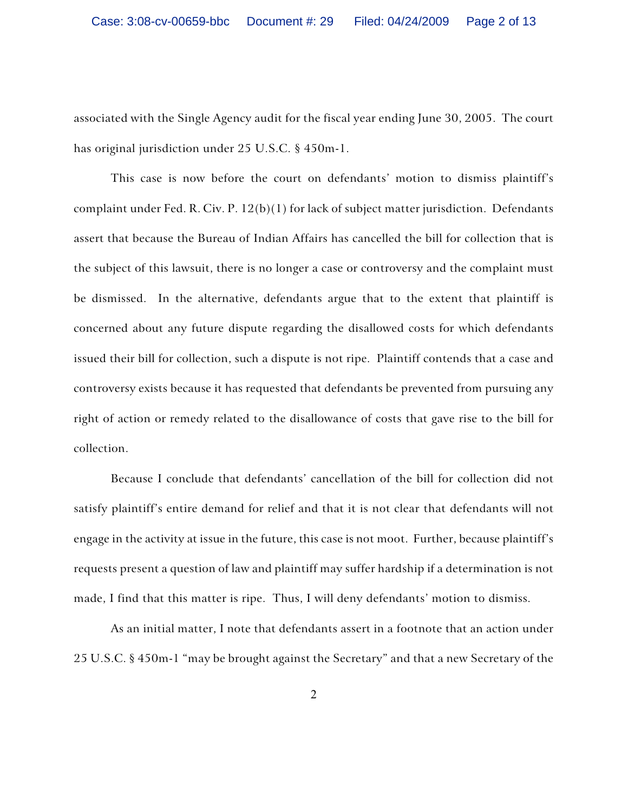associated with the Single Agency audit for the fiscal year ending June 30, 2005. The court has original jurisdiction under 25 U.S.C. § 450m-1.

This case is now before the court on defendants' motion to dismiss plaintiff's complaint under Fed. R. Civ. P. 12(b)(1) for lack of subject matter jurisdiction. Defendants assert that because the Bureau of Indian Affairs has cancelled the bill for collection that is the subject of this lawsuit, there is no longer a case or controversy and the complaint must be dismissed. In the alternative, defendants argue that to the extent that plaintiff is concerned about any future dispute regarding the disallowed costs for which defendants issued their bill for collection, such a dispute is not ripe. Plaintiff contends that a case and controversy exists because it has requested that defendants be prevented from pursuing any right of action or remedy related to the disallowance of costs that gave rise to the bill for collection.

Because I conclude that defendants' cancellation of the bill for collection did not satisfy plaintiff's entire demand for relief and that it is not clear that defendants will not engage in the activity at issue in the future, this case is not moot. Further, because plaintiff's requests present a question of law and plaintiff may suffer hardship if a determination is not made, I find that this matter is ripe. Thus, I will deny defendants' motion to dismiss.

As an initial matter, I note that defendants assert in a footnote that an action under 25 U.S.C. § 450m-1 "may be brought against the Secretary" and that a new Secretary of the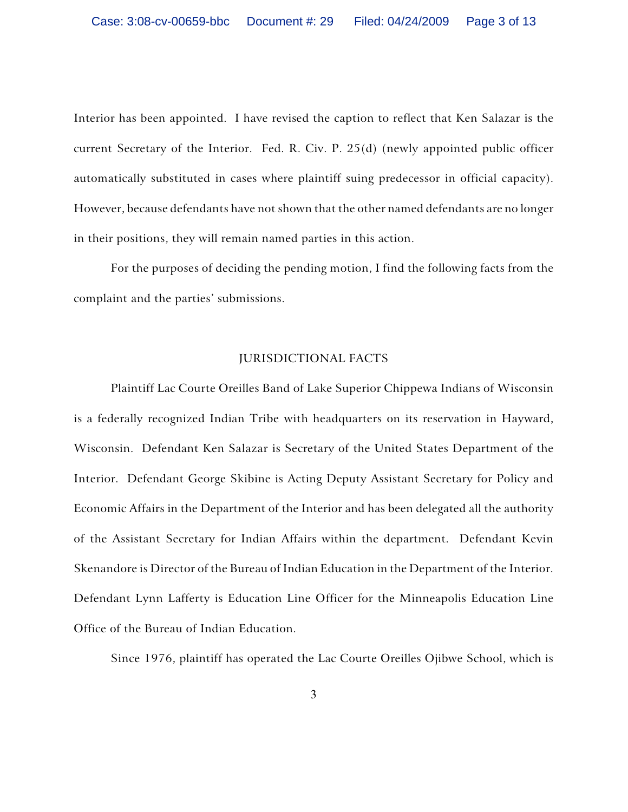Interior has been appointed. I have revised the caption to reflect that Ken Salazar is the current Secretary of the Interior. Fed. R. Civ. P. 25(d) (newly appointed public officer automatically substituted in cases where plaintiff suing predecessor in official capacity). However, because defendants have not shown that the other named defendants are no longer in their positions, they will remain named parties in this action.

For the purposes of deciding the pending motion, I find the following facts from the complaint and the parties' submissions.

## JURISDICTIONAL FACTS

Plaintiff Lac Courte Oreilles Band of Lake Superior Chippewa Indians of Wisconsin is a federally recognized Indian Tribe with headquarters on its reservation in Hayward, Wisconsin. Defendant Ken Salazar is Secretary of the United States Department of the Interior. Defendant George Skibine is Acting Deputy Assistant Secretary for Policy and Economic Affairs in the Department of the Interior and has been delegated all the authority of the Assistant Secretary for Indian Affairs within the department. Defendant Kevin Skenandore is Director of the Bureau of Indian Education in the Department of the Interior. Defendant Lynn Lafferty is Education Line Officer for the Minneapolis Education Line Office of the Bureau of Indian Education.

Since 1976, plaintiff has operated the Lac Courte Oreilles Ojibwe School, which is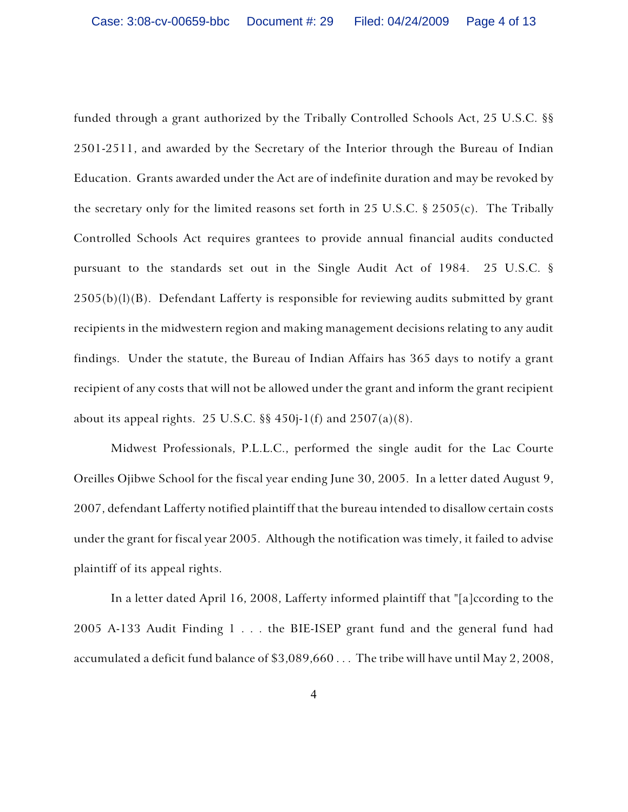funded through a grant authorized by the Tribally Controlled Schools Act, 25 U.S.C. §§ 2501-2511, and awarded by the Secretary of the Interior through the Bureau of Indian Education. Grants awarded under the Act are of indefinite duration and may be revoked by the secretary only for the limited reasons set forth in 25 U.S.C. § 2505(c). The Tribally Controlled Schools Act requires grantees to provide annual financial audits conducted pursuant to the standards set out in the Single Audit Act of 1984. 25 U.S.C. §  $2505(b)(l)(B)$ . Defendant Lafferty is responsible for reviewing audits submitted by grant recipients in the midwestern region and making management decisions relating to any audit findings. Under the statute, the Bureau of Indian Affairs has 365 days to notify a grant recipient of any costs that will not be allowed under the grant and inform the grant recipient about its appeal rights. 25 U.S.C.  $\S$  450j-1(f) and 2507(a)(8).

Midwest Professionals, P.L.L.C., performed the single audit for the Lac Courte Oreilles Ojibwe School for the fiscal year ending June 30, 2005. In a letter dated August 9, 2007, defendant Lafferty notified plaintiff that the bureau intended to disallow certain costs under the grant for fiscal year 2005. Although the notification was timely, it failed to advise plaintiff of its appeal rights.

In a letter dated April 16, 2008, Lafferty informed plaintiff that "[a]ccording to the 2005 A-133 Audit Finding 1 . . . the BIE-ISEP grant fund and the general fund had accumulated a deficit fund balance of \$3,089,660 . . . The tribe will have until May 2, 2008,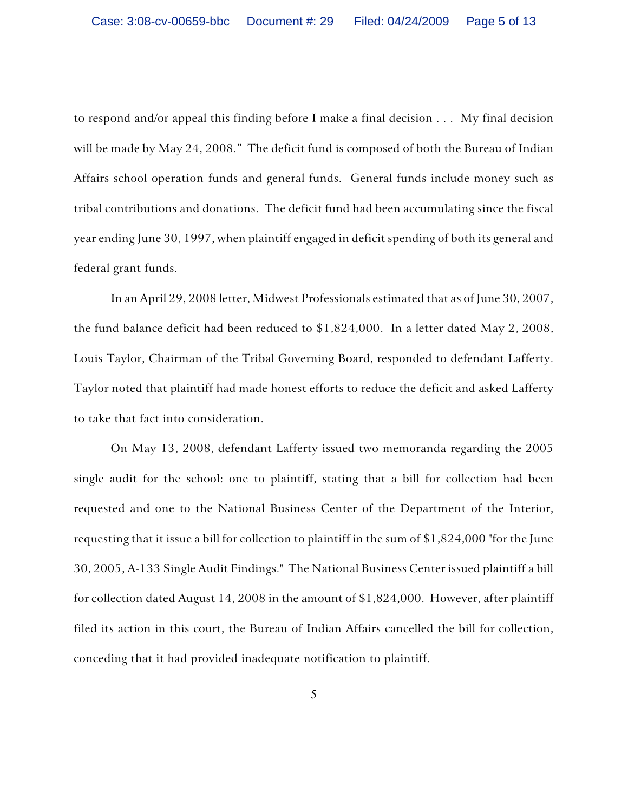to respond and/or appeal this finding before I make a final decision . . . My final decision will be made by May 24, 2008." The deficit fund is composed of both the Bureau of Indian Affairs school operation funds and general funds. General funds include money such as tribal contributions and donations. The deficit fund had been accumulating since the fiscal year ending June 30, 1997, when plaintiff engaged in deficit spending of both its general and federal grant funds.

In an April 29, 2008 letter, Midwest Professionals estimated that as of June 30, 2007, the fund balance deficit had been reduced to \$1,824,000. In a letter dated May 2, 2008, Louis Taylor, Chairman of the Tribal Governing Board, responded to defendant Lafferty. Taylor noted that plaintiff had made honest efforts to reduce the deficit and asked Lafferty to take that fact into consideration.

On May 13, 2008, defendant Lafferty issued two memoranda regarding the 2005 single audit for the school: one to plaintiff, stating that a bill for collection had been requested and one to the National Business Center of the Department of the Interior, requesting that it issue a bill for collection to plaintiff in the sum of \$1,824,000 "for the June 30, 2005, A-133 Single Audit Findings." The National Business Center issued plaintiff a bill for collection dated August 14, 2008 in the amount of \$1,824,000. However, after plaintiff filed its action in this court, the Bureau of Indian Affairs cancelled the bill for collection, conceding that it had provided inadequate notification to plaintiff.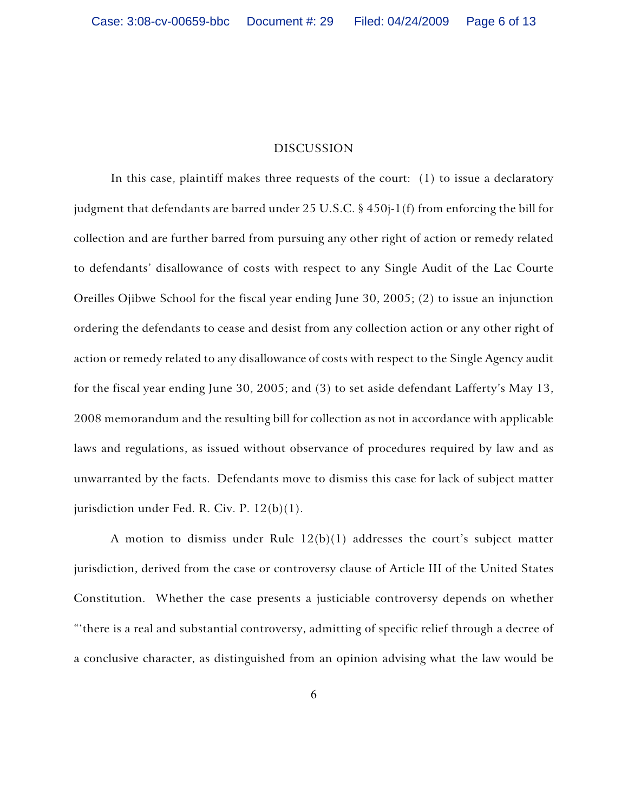### DISCUSSION

In this case, plaintiff makes three requests of the court: (1) to issue a declaratory judgment that defendants are barred under 25 U.S.C. § 450j-1(f) from enforcing the bill for collection and are further barred from pursuing any other right of action or remedy related to defendants' disallowance of costs with respect to any Single Audit of the Lac Courte Oreilles Ojibwe School for the fiscal year ending June 30, 2005; (2) to issue an injunction ordering the defendants to cease and desist from any collection action or any other right of action or remedy related to any disallowance of costs with respect to the Single Agency audit for the fiscal year ending June 30, 2005; and (3) to set aside defendant Lafferty's May 13, 2008 memorandum and the resulting bill for collection as not in accordance with applicable laws and regulations, as issued without observance of procedures required by law and as unwarranted by the facts. Defendants move to dismiss this case for lack of subject matter jurisdiction under Fed. R. Civ. P. 12(b)(1).

A motion to dismiss under Rule 12(b)(1) addresses the court's subject matter jurisdiction, derived from the case or controversy clause of Article III of the United States Constitution. Whether the case presents a justiciable controversy depends on whether "'there is a real and substantial controversy, admitting of specific relief through a decree of a conclusive character, as distinguished from an opinion advising what the law would be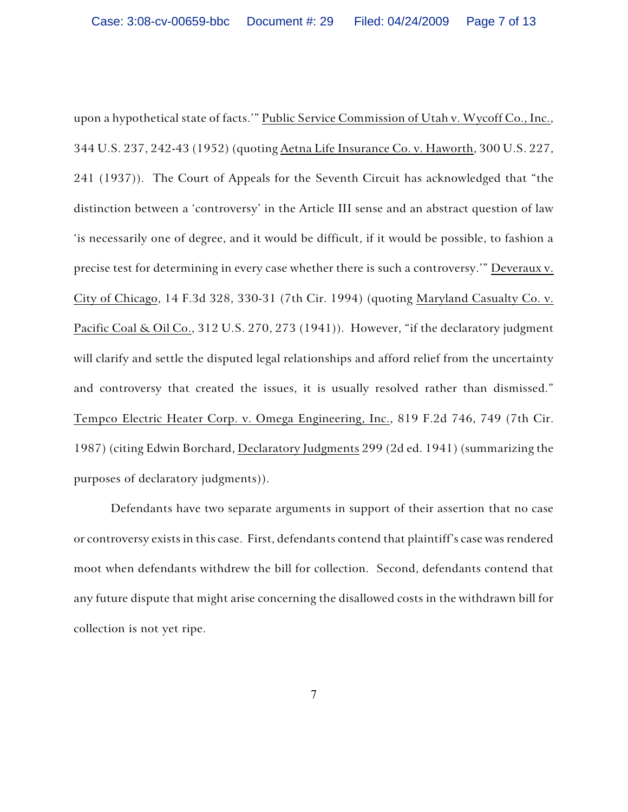upon a hypothetical state of facts.'" Public Service Commission of Utah v. Wycoff Co., Inc., 344 U.S. 237, 242-43 (1952) (quoting Aetna Life Insurance Co. v. Haworth, 300 U.S. 227, 241 (1937)). The Court of Appeals for the Seventh Circuit has acknowledged that "the distinction between a 'controversy' in the Article III sense and an abstract question of law 'is necessarily one of degree, and it would be difficult, if it would be possible, to fashion a precise test for determining in every case whether there is such a controversy.'" Deveraux v. City of Chicago, 14 F.3d 328, 330-31 (7th Cir. 1994) (quoting Maryland Casualty Co. v. Pacific Coal & Oil Co., 312 U.S. 270, 273 (1941)). However, "if the declaratory judgment will clarify and settle the disputed legal relationships and afford relief from the uncertainty and controversy that created the issues, it is usually resolved rather than dismissed." Tempco Electric Heater Corp. v. Omega Engineering, Inc., 819 F.2d 746, 749 (7th Cir. 1987) (citing Edwin Borchard, Declaratory Judgments 299 (2d ed. 1941) (summarizing the purposes of declaratory judgments)).

Defendants have two separate arguments in support of their assertion that no case or controversy exists in this case. First, defendants contend that plaintiff's case was rendered moot when defendants withdrew the bill for collection. Second, defendants contend that any future dispute that might arise concerning the disallowed costs in the withdrawn bill for collection is not yet ripe.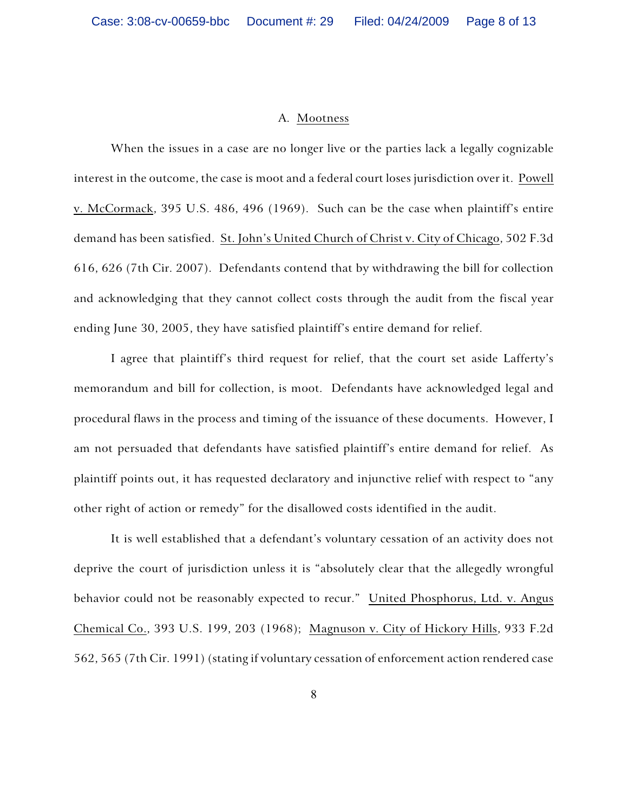#### A. Mootness

When the issues in a case are no longer live or the parties lack a legally cognizable interest in the outcome, the case is moot and a federal court loses jurisdiction over it. Powell v. McCormack, 395 U.S. 486, 496 (1969). Such can be the case when plaintiff's entire demand has been satisfied. St. John's United Church of Christ v. City of Chicago, 502 F.3d 616, 626 (7th Cir. 2007). Defendants contend that by withdrawing the bill for collection and acknowledging that they cannot collect costs through the audit from the fiscal year ending June 30, 2005, they have satisfied plaintiff's entire demand for relief.

I agree that plaintiff's third request for relief, that the court set aside Lafferty's memorandum and bill for collection, is moot. Defendants have acknowledged legal and procedural flaws in the process and timing of the issuance of these documents. However, I am not persuaded that defendants have satisfied plaintiff's entire demand for relief. As plaintiff points out, it has requested declaratory and injunctive relief with respect to "any other right of action or remedy" for the disallowed costs identified in the audit.

It is well established that a defendant's voluntary cessation of an activity does not deprive the court of jurisdiction unless it is "absolutely clear that the allegedly wrongful behavior could not be reasonably expected to recur." United Phosphorus, Ltd. v. Angus Chemical Co., 393 U.S. 199, 203 (1968); Magnuson v. City of Hickory Hills, 933 F.2d 562, 565 (7th Cir. 1991) (stating if voluntary cessation of enforcement action rendered case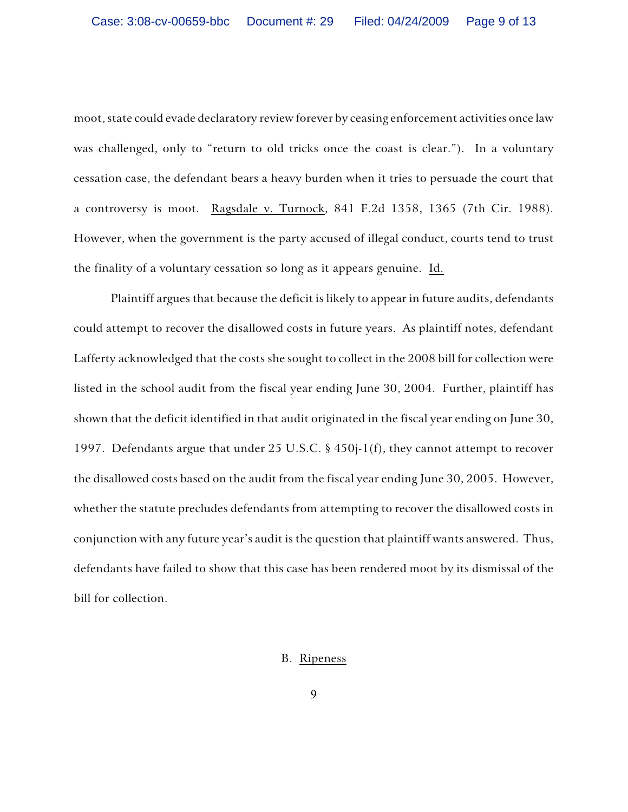moot, state could evade declaratory review forever by ceasing enforcement activities once law was challenged, only to "return to old tricks once the coast is clear."). In a voluntary cessation case, the defendant bears a heavy burden when it tries to persuade the court that a controversy is moot. Ragsdale v. Turnock, 841 F.2d 1358, 1365 (7th Cir. 1988). However, when the government is the party accused of illegal conduct, courts tend to trust the finality of a voluntary cessation so long as it appears genuine. Id.

Plaintiff argues that because the deficit is likely to appear in future audits, defendants could attempt to recover the disallowed costs in future years. As plaintiff notes, defendant Lafferty acknowledged that the costs she sought to collect in the 2008 bill for collection were listed in the school audit from the fiscal year ending June 30, 2004. Further, plaintiff has shown that the deficit identified in that audit originated in the fiscal year ending on June 30, 1997. Defendants argue that under 25 U.S.C. § 450j-1(f), they cannot attempt to recover the disallowed costs based on the audit from the fiscal year ending June 30, 2005. However, whether the statute precludes defendants from attempting to recover the disallowed costs in conjunction with any future year's audit is the question that plaintiff wants answered. Thus, defendants have failed to show that this case has been rendered moot by its dismissal of the bill for collection.

### B. Ripeness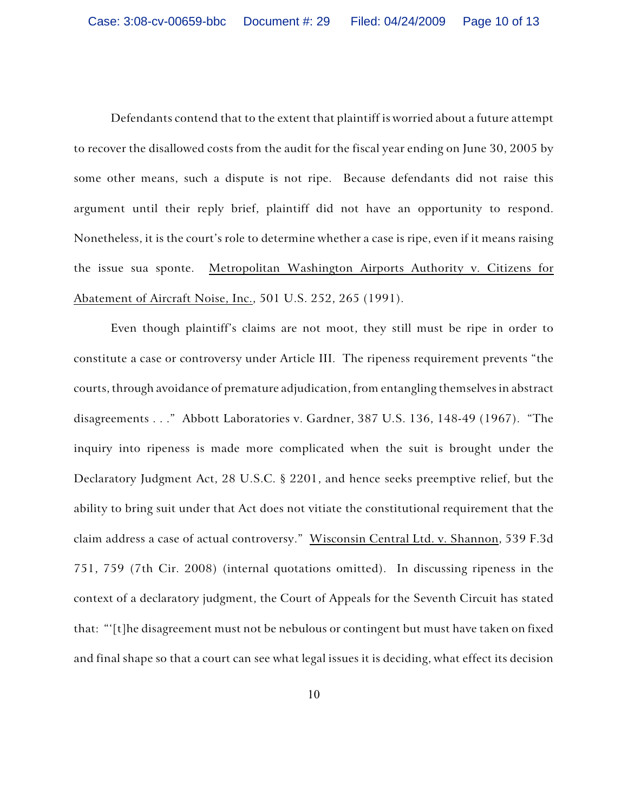Defendants contend that to the extent that plaintiff is worried about a future attempt to recover the disallowed costs from the audit for the fiscal year ending on June 30, 2005 by some other means, such a dispute is not ripe. Because defendants did not raise this argument until their reply brief, plaintiff did not have an opportunity to respond. Nonetheless, it is the court's role to determine whether a case is ripe, even if it means raising the issue sua sponte. Metropolitan Washington Airports Authority v. Citizens for Abatement of Aircraft Noise, Inc., 501 U.S. 252, 265 (1991).

Even though plaintiff's claims are not moot, they still must be ripe in order to constitute a case or controversy under Article III. The ripeness requirement prevents "the courts, through avoidance of premature adjudication, from entangling themselves in abstract disagreements . . ." Abbott Laboratories v. Gardner, 387 U.S. 136, 148-49 (1967). "The inquiry into ripeness is made more complicated when the suit is brought under the Declaratory Judgment Act, 28 U.S.C. § 2201, and hence seeks preemptive relief, but the ability to bring suit under that Act does not vitiate the constitutional requirement that the claim address a case of actual controversy." Wisconsin Central Ltd. v. Shannon, 539 F.3d 751, 759 (7th Cir. 2008) (internal quotations omitted). In discussing ripeness in the context of a declaratory judgment, the Court of Appeals for the Seventh Circuit has stated that: "'[t]he disagreement must not be nebulous or contingent but must have taken on fixed and final shape so that a court can see what legal issues it is deciding, what effect its decision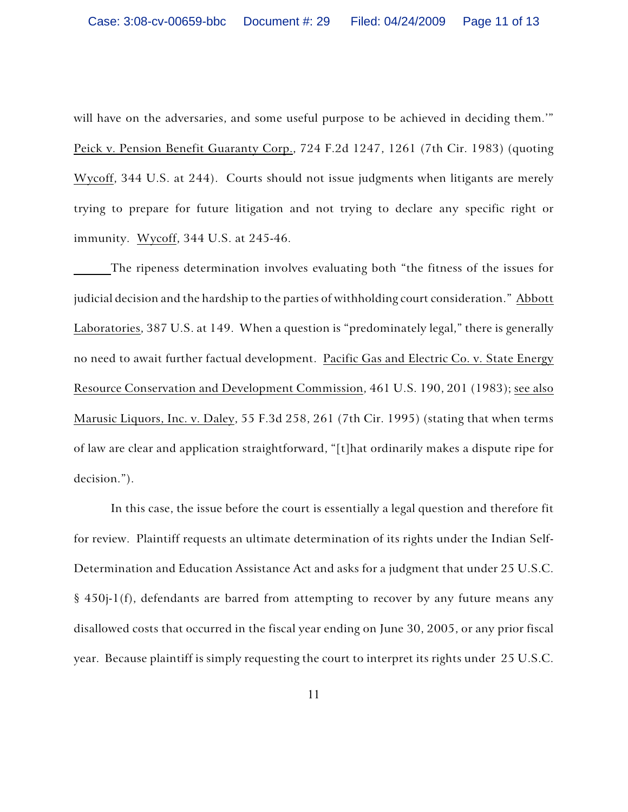will have on the adversaries, and some useful purpose to be achieved in deciding them." Peick v. Pension Benefit Guaranty Corp., 724 F.2d 1247, 1261 (7th Cir. 1983) (quoting Wycoff, 344 U.S. at 244). Courts should not issue judgments when litigants are merely trying to prepare for future litigation and not trying to declare any specific right or immunity. Wycoff, 344 U.S. at 245-46.

The ripeness determination involves evaluating both "the fitness of the issues for judicial decision and the hardship to the parties of withholding court consideration." Abbott Laboratories, 387 U.S. at 149. When a question is "predominately legal," there is generally no need to await further factual development. Pacific Gas and Electric Co. v. State Energy Resource Conservation and Development Commission, 461 U.S. 190, 201 (1983); see also Marusic Liquors, Inc. v. Daley, 55 F.3d 258, 261 (7th Cir. 1995) (stating that when terms of law are clear and application straightforward, "[t]hat ordinarily makes a dispute ripe for decision.").

In this case, the issue before the court is essentially a legal question and therefore fit for review. Plaintiff requests an ultimate determination of its rights under the Indian Self-Determination and Education Assistance Act and asks for a judgment that under 25 U.S.C. § 450j-1(f), defendants are barred from attempting to recover by any future means any disallowed costs that occurred in the fiscal year ending on June 30, 2005, or any prior fiscal year. Because plaintiff is simply requesting the court to interpret its rights under 25 U.S.C.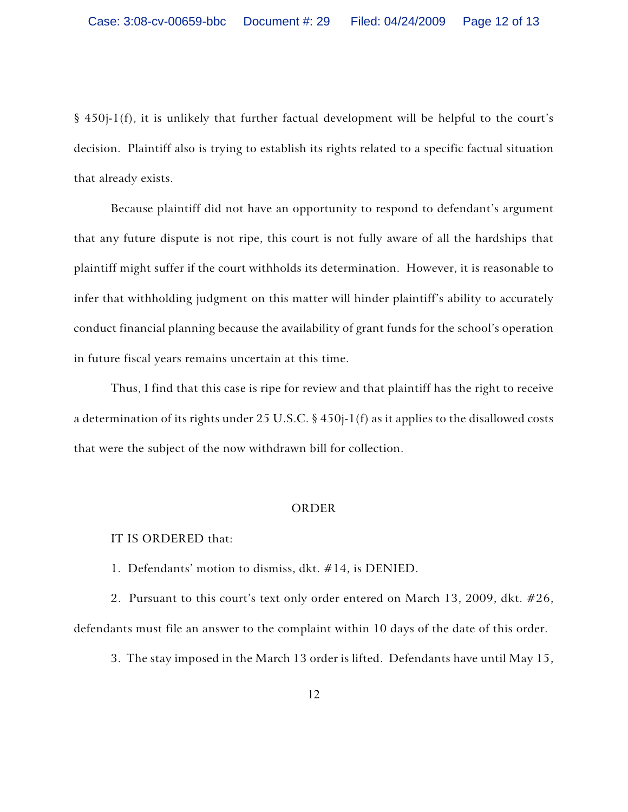§ 450j-1(f), it is unlikely that further factual development will be helpful to the court's decision. Plaintiff also is trying to establish its rights related to a specific factual situation that already exists.

Because plaintiff did not have an opportunity to respond to defendant's argument that any future dispute is not ripe, this court is not fully aware of all the hardships that plaintiff might suffer if the court withholds its determination. However, it is reasonable to infer that withholding judgment on this matter will hinder plaintiff's ability to accurately conduct financial planning because the availability of grant funds for the school's operation in future fiscal years remains uncertain at this time.

Thus, I find that this case is ripe for review and that plaintiff has the right to receive a determination of its rights under 25 U.S.C. § 450j-1(f) as it applies to the disallowed costs that were the subject of the now withdrawn bill for collection.

### ORDER

## IT IS ORDERED that:

1. Defendants' motion to dismiss, dkt. #14, is DENIED.

2. Pursuant to this court's text only order entered on March 13, 2009, dkt. #26, defendants must file an answer to the complaint within 10 days of the date of this order.

3. The stay imposed in the March 13 order is lifted. Defendants have until May 15,